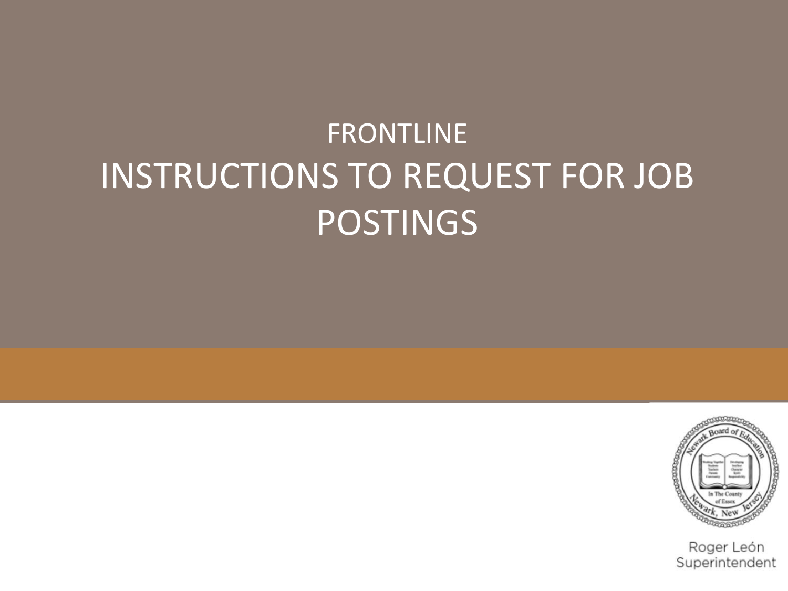# **FRONTLINE** INSTRUCTIONS TO REQUEST FOR JOB POSTINGS



Roger León Superintendent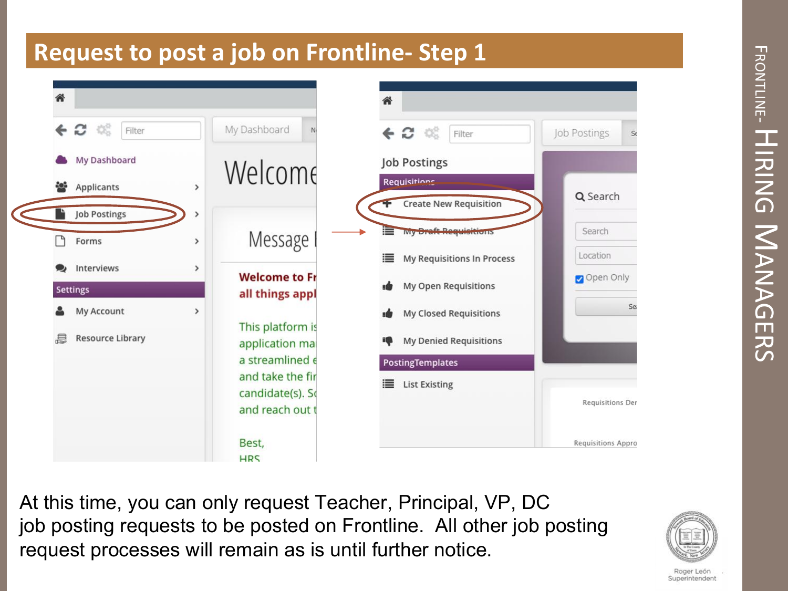

At this time, you can only request Teacher, Principal, VP, DC job posting requests to be posted on Frontline. All other job posting request processes will remain as is until further notice.



Roger León Superintendent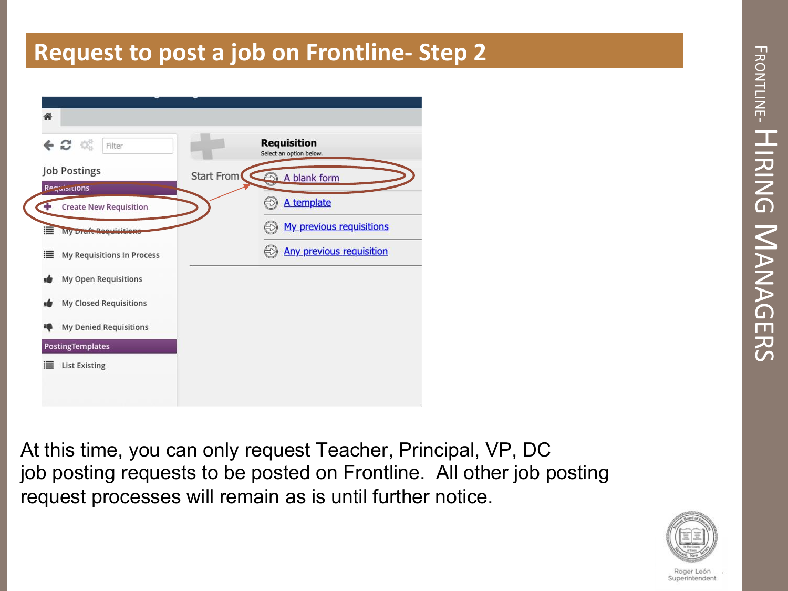| <b>Job Postings</b><br>Requisitions | <b>Start From</b><br>A blank form |
|-------------------------------------|-----------------------------------|
|                                     |                                   |
| <b>Create New Requisition</b>       | A template                        |
| ≣<br>My Draft Requisitie            | My previous requisitions          |
| ≣<br>My Requisitions In Process     | <b>Any previous requisition</b>   |
| My Open Requisitions                |                                   |
| My Closed Requisitions              |                                   |
| My Denied Requisitions              |                                   |
| <b>PostingTemplates</b>             |                                   |

At this time, you can only request Teacher, Principal, VP, DC job posting requests to be posted on Frontline. All other job posting request processes will remain as is until further notice.



Roger Leór Superintendent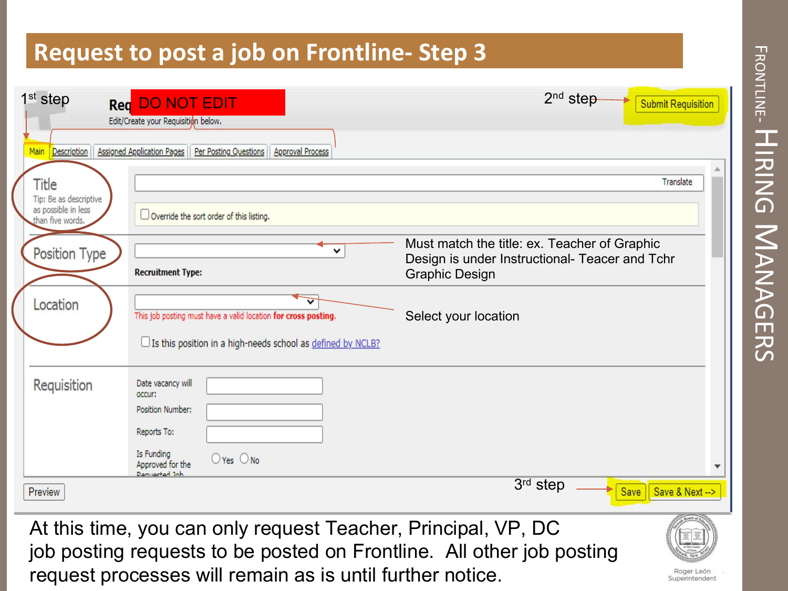| $1st$ step                                                                                                                                                                                                                          | <b>Red</b> DO NOT EDIT<br>Edit/Create your Requisition below.                                                                       | $2nd$ step                                                                                                              | <b>Submit Requisition</b> |  |
|-------------------------------------------------------------------------------------------------------------------------------------------------------------------------------------------------------------------------------------|-------------------------------------------------------------------------------------------------------------------------------------|-------------------------------------------------------------------------------------------------------------------------|---------------------------|--|
| Main<br><b>Description</b>                                                                                                                                                                                                          | <b>Assigned Application Pages</b><br>Per Posting Questions<br><b>Approval Process</b>                                               |                                                                                                                         |                           |  |
| Title                                                                                                                                                                                                                               |                                                                                                                                     |                                                                                                                         | Translate                 |  |
| Tip: Be as descriptive<br>as possible in less<br>than five words.                                                                                                                                                                   | Override the sort order of this listing.                                                                                            |                                                                                                                         |                           |  |
| Position Type                                                                                                                                                                                                                       | v<br><b>Recruitment Type:</b>                                                                                                       | Must match the title: ex. Teacher of Graphic<br>Design is under Instructional- Teacer and Tchr<br><b>Graphic Design</b> |                           |  |
| Location                                                                                                                                                                                                                            | This job posting must have a valid location for cross posting.<br>□ Is this position in a high-needs school as defined by NCLB?     | Select your location                                                                                                    |                           |  |
| Requisition                                                                                                                                                                                                                         | Date vacancy will<br>occur:<br>Position Number:<br>Reports To:<br>Is Funding<br>$O$ Yes $O$ No<br>Approved for the<br>Denuarted Ink |                                                                                                                         |                           |  |
| Preview                                                                                                                                                                                                                             |                                                                                                                                     | 3rd step                                                                                                                | Save<br>Save & Next -- >  |  |
| At this time, you can only request Teacher, Principal, VP, DC<br>job posting requests to be posted on Frontline. All other job posting<br>request processes will remain as is until further notice.<br>Roger León<br>Superintendent |                                                                                                                                     |                                                                                                                         |                           |  |